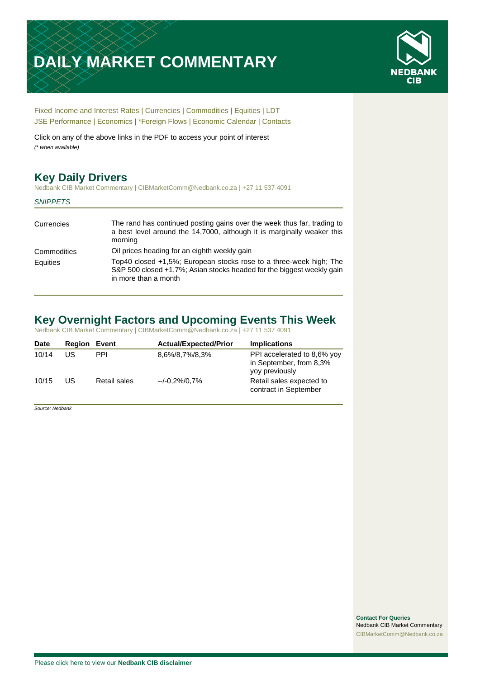# **DAILY MARKET COMMENTARY**



[Fixed Income and Interest Rates](#page-1-0) | [Currencies](#page-2-0) | [Commodities](#page-3-0) [| Equities](#page-4-0) | [LDT](#page-5-0) [JSE Performance](#page-6-0) [| Economics](#page-7-0) | \*Foreign Flows | [Economic Calendar](#page-7-0) | [Contacts](#page-8-0)

Click on any of the above links in the PDF to access your point of interest *(\* when available)*

## **Key Daily Drivers**

Nedbank CIB Market Commentary | CIBMarketComm@Nedbank.co.za | +27 11 537 4091

#### *SNIPPETS*

| The rand has continued posting gains over the week thus far, trading to<br>a best level around the 14,7000, although it is marginally weaker this<br>morning        |
|---------------------------------------------------------------------------------------------------------------------------------------------------------------------|
| Oil prices heading for an eighth weekly gain                                                                                                                        |
| Top40 closed +1,5%; European stocks rose to a three-week high; The<br>S&P 500 closed +1,7%; Asian stocks headed for the biggest weekly gain<br>in more than a month |
|                                                                                                                                                                     |

### **Key Overnight Factors and Upcoming Events This Week**

Nedbank CIB Market Commentary | CIBMarketComm@Nedbank.co.za | +27 11 537 4091

| <b>Date</b> | <b>Region Event</b> |              | <b>Actual/Expected/Prior</b> | <b>Implications</b>                                                      |
|-------------|---------------------|--------------|------------------------------|--------------------------------------------------------------------------|
| 10/14       | US                  | <b>PPI</b>   | 8,6%/8,7%/8,3%               | PPI accelerated to 8,6% yoy<br>in September, from 8,3%<br>yoy previously |
| 10/15       | US                  | Retail sales | --/-0.2%/0.7%                | Retail sales expected to<br>contract in September                        |

*Source: Nedbank*

**Contact For Queries** Nedbank CIB Market Commentary [CIBMarketComm@Nedbank.co.za](file:///C:/Users/Paul-Rose/AppData/Roaming/Bluecurve/templates/CIBMarketComm@Nedbank.co.za)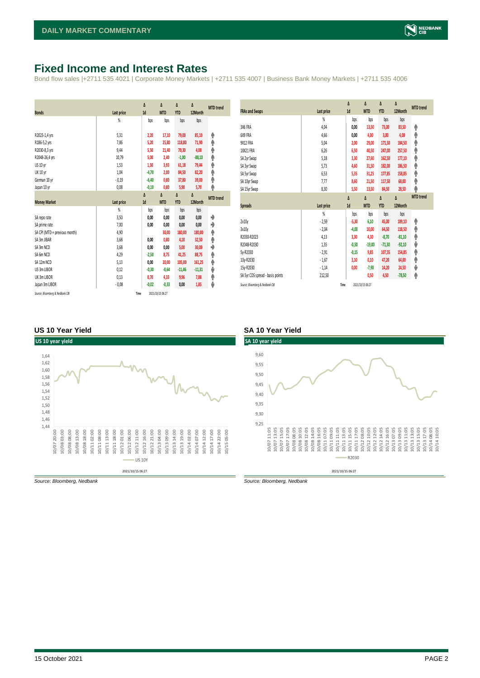### <span id="page-1-0"></span>**Fixed Income and Interest Rates**

Bond flow sales |+2711 535 4021 | Corporate Money Markets | +2711 535 4007 | Business Bank Money Markets | +2711 535 4006

| <b>Bonds</b>                  | Last price     | Δ<br>1d | Δ<br><b>MTD</b> | Δ<br><b>YTD</b> | Δ<br>12Month | <b>MTD</b> trend |
|-------------------------------|----------------|---------|-----------------|-----------------|--------------|------------------|
|                               | %              | bps     | bps             | bps             | bps          |                  |
| R2023-1,4 yrs                 | 5,31           | 2,20    | 17,10           | 79,00           | 85,10        | ۸                |
| R186-5,2 yrs                  | 7,86           | 5,20    | 25,80           | 118,80          | 71,90        | ۸                |
| R2030-8,3 yrs                 | 9,44           | 5,50    | 21,40           | 70,30           | 4,00         | ۸                |
| R2048-26,4 yrs                | 10,79          | 5,00    | 2,40            | $-1,00$         | $-88,10$     | φ                |
| US 10 yr                      | 1,53           | 1,50    | 3,93            | 61,18           | 79,44        | φ                |
| <b>UK 10 yr</b>               | 1,04           | $-4,70$ | 2,00            | 84,50           | 82,20        | φ                |
| German 10 yr                  | $-0,19$        | $-6,40$ | 0,80            | 37,80           | 39,00        | ۸                |
| Japan 10 yr                   | 0,08           | $-0,10$ | 0,80            | 5,90            | 5,70         | φ                |
|                               |                | Δ       | Δ               | Δ               | Δ            | <b>MTD</b> trend |
| <b>Money Market</b>           | Last price     | 1d      | <b>MTD</b>      | <b>YTD</b>      | 12Month      |                  |
|                               | $\frac{9}{20}$ | bps     | bps             | bps             | bps          |                  |
| SA reporate                   |                |         |                 |                 |              |                  |
|                               | 3,50           | 0,00    | 0,00            | 0,00            | 0,00         | ۰                |
| SA prime rate                 | 7,00           | 0,00    | 0,00            | 0,00            | 0,00         | ♦                |
| SA CPI (MTD = previous month) | 4,90           |         | 30,00           | 180,00          | 180,00       | ۸                |
| SA 3m JIBAR                   | 3,68           | 0,00    | 0,80            | 4,10            | 32,50        | ۸                |
| SA 3m NCD                     | 3,68           | 0,00    | 0,00            | 5,00            | 30,00        | ۰                |
| SA 6m NCD                     | 4,29           | $-2,50$ | 8,75            | 41,25           | 88,75        | ۸                |
| SA 12m NCD                    | 5,13           | 0,00    | 20,00           | 105,00          | 161,25       | ۸                |
| US 3m LIBOR                   | 0,12           | $-0,30$ | $-0,64$         | $-11,46$        | $-11,31$     | ψ                |
| UK 3m LIBOR                   | 0,13           | 0,70    | 4,33            | 9,96            | 7,88         | ۸                |
| Japan 3m LIBOR                | $-0,08$        | $-0,02$ | $-0,33$         | 0,00            | 1,85         | ψ                |

| <b>FRAs and Swaps</b>            | Last price | Δ<br>1d | Δ<br><b>MTD</b> | Δ<br><b>YTD</b> | Δ<br>12Month | <b>MTD</b> trend |
|----------------------------------|------------|---------|-----------------|-----------------|--------------|------------------|
|                                  | %          | bps     | bps             | bps             | bps          |                  |
| 3X6 FRA                          | 4,04       | 0,00    | 13,50           | 73,00           | 83,50        | ۸                |
| 6X9 FRA                          | 4,66       | 0,00    | 4,00            | 3,00            | 4,00         | ٨                |
| <b>9X12 FRA</b>                  | 5,04       | 2,00    | 29,00           | 171,50          | 184,50       | ۸                |
| 18X21 FRA                        | 6,26       | 6,50    | 40,50           | 247,00          | 257,50       | φ                |
| SA 2yr Swap                      | 5,18       | 3,30    | 27,60           | 162,50          | 177,10       | ٨                |
| SA 3yr Swap                      | 5,73       | 4,60    | 31,50           | 182,00          | 186,50       | φ                |
| SA 5yr Swap                      | 6,53       | 5,35    | 31,25           | 177,85          | 158,85       | ٨                |
| SA 10yr Swap                     | 7,77       | 8,60    | 21,50           | 117,50          | 68,00        | φ                |
| SA 15yr Swap                     | 8,30       | 5,50    | 13,50           | 84,50           | 28,50        | ۸                |
|                                  |            |         |                 |                 |              |                  |
|                                  |            | Δ       | Δ               | Δ               | Δ            | <b>MTD</b> trend |
| <b>Spreads</b>                   | Last price | 1d      | <b>MTD</b>      | <b>YTD</b>      | 12Month      |                  |
|                                  | %          | bps     | bps             | bps             | bps          |                  |
| 2v10v                            | $-2,59$    | $-5,30$ | 6,10            | 45,00           | 109,10       | ۸                |
| 3v10y                            | $-2,04$    | $-4,00$ | 10,00           | 64,50           | 118,50       | ٨                |
| R2030-R2023                      | 4,13       | 3,30    | 4,30            | $-8,70$         | $-81,10$     | φ                |
| R2048-R2030                      | 1,35       | $-0,50$ | $-19,00$        | $-71,30$        | $-92,10$     | ψ                |
| 5y-R2030                         | $-2,91$    | $-0,15$ | 9,85            | 107,55          | 154,85       | φ                |
| 10y-R2030                        | $-1,67$    | 3,10    | 0,10            | 47,20           | 64,00        | ٨                |
| 15y-R2030                        | $-1,14$    | 0,00    | $-7,90$         | 14,20           | 24,50        | ψ                |
| SA 5yr CDS spread - basis points | 212,50     |         | 0,50            | 4,50            | $-78,50$     | ۸                |

#### **US 10 Year Yield SA 10 Year Yield**



*Source: Bloomberg, Nedbank Source: Bloomberg, Nedbank*

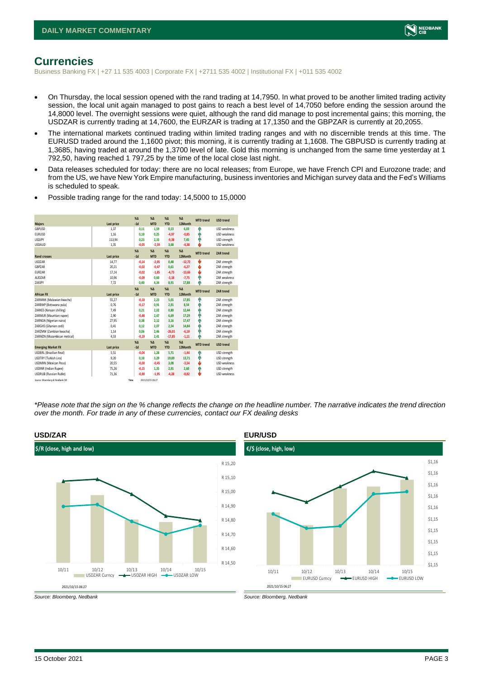

### <span id="page-2-0"></span>**Currencies**

Business Banking FX | +27 11 535 4003 | Corporate FX | +2711 535 4002 | Institutional FX | +011 535 4002

- On Thursday, the local session opened with the rand trading at 14,7950. In what proved to be another limited trading activity session, the local unit again managed to post gains to reach a best level of 14,7050 before ending the session around the 14,8000 level. The overnight sessions were quiet, although the rand did manage to post incremental gains; this morning, the USDZAR is currently trading at 14,7600, the EURZAR is trading at 17,1350 and the GBPZAR is currently at 20,2055.
- The international markets continued trading within limited trading ranges and with no discernible trends at this time. The EURUSD traded around the 1,1600 pivot; this morning, it is currently trading at 1,1608. The GBPUSD is currently trading at 1,3685, having traded at around the 1,3700 level of late. Gold this morning is unchanged from the same time yesterday at 1 792,50, having reached 1 797,25 by the time of the local close last night.
- Data releases scheduled for today: there are no local releases; from Europe, we have French CPI and Eurozone trade; and from the US, we have New York Empire manufacturing, business inventories and Michigan survey data and the Fed's Williams is scheduled to speak.

| <b>Majors</b>                   | Last price | $X\Delta$<br>$-1d$ | $X\Delta$<br><b>MTD</b> | $% \Delta$<br><b>YTD</b> | $% \Delta$<br>12Month | <b>MTD</b> trend | <b>USD trend</b>    |
|---------------------------------|------------|--------------------|-------------------------|--------------------------|-----------------------|------------------|---------------------|
| GBPUSD                          | 1,37       | 0,11               | 1,59                    | 0,13                     | 6,03                  | ٠                | USD weakness        |
| <b>EURUSD</b>                   | 1,16       | 0.10               | 0,25                    | $-4,97$                  | $-0,85$               | ۸                | USD weakness        |
| <b>USDJPY</b>                   | 113,94     | 0.23               | 2.33                    | $-9,38$                  | 7.45                  | ٠                | USD strength        |
| <b>USDAUD</b>                   | 1,35       | $-0.05$            | $-2.59$                 | 3,68                     | $-4,38$               | ш                | USD weakness        |
|                                 |            | $X\Delta$          | $X\Delta$               | $% \Delta$               | $% \Delta$            | <b>MTD</b> trend | ZAR trend           |
| <b>Rand crosses</b>             | Last price | $-1d$              | <b>MTD</b>              | <b>YTD</b>               | 12Month               |                  |                     |
| <b>USDZAR</b>                   | 14,77      | $-0,14$            | $-2,05$                 | 0,48                     | $-12,72$              | v                | ZAR strength        |
| GBPZAR                          | 20,21      | $-0.02$            | $-0,47$                 | 0,61                     | $-6,27$               | ψ                | ZAR strength        |
| EURZAR                          | 17.14      | $-0.02$            | $-1.85$                 | $-4.73$                  | $-13,66$              | v                | ZAR strength        |
| AUDZAR                          | 10,96      | $-0.09$            | 0.60                    | $-3,18$                  | $-7,75$               | ٠                | <b>7AR</b> weakness |
| 7ARIPY                          | 7,72       | 0.40               | 4,34                    | 8,91                     | 17,88                 | Φ                | ZAR strength        |
|                                 |            | $X\Delta$          | $X\Delta$               | $% \Delta$               | $% \Delta$            | <b>MTD</b> trend | <b>ZAR trend</b>    |
| <b>African FX</b>               | Last price | $-1d$              | <b>MTD</b>              | <b>YTD</b>               | 12Month               |                  |                     |
| ZARMWK (Malawian kwacha)        | 55,27      | $-0,10$            | 2,23                    | 5,01                     | 17,85                 | ۸                | ZAR strength        |
| ZARBWP (Botswana pula)          | 0.76       | $-0.17$            | 0.91                    | 2,91                     | 8.54                  | ٠                | ZAR strength        |
| ZARKES (Kenyan shilling)        | 7.49       | 0.21               | 2.02                    | 0.80                     | 12.44                 | ٠                | ZAR strength        |
| ZARMUR (Mauritian rupee)        | 2.90       | $-0.48$            | 2.47                    | 6.69                     | 17.29                 | ٠                | ZAR strength        |
| ZARNGN (Nigerian naira)         | 27,95      | 0.38               | 2.12                    | 3,16                     | 17,47                 | ٠                | ZAR strength        |
| ZARGHS (Ghanian cedi)           | 0.41       | 0.12               | 2.07                    | 2,54                     | 14.84                 | ٠                | ZAR strength        |
| ZARZMW (Zambian kwacha)         | 1,14       | 0,06               | 2.46                    | $-26,01$                 | $-6,10$               | ٠                | ZAR strength        |
| ZARMZN (Mozambican metical)     | 4,33       | $-0,19$            | 2,41                    | $-17,85$                 | $-1,11$               | ۸                | ZAR strength        |
|                                 |            | $X\Delta$          | $X\Delta$               | $% \Delta$               | $% \Delta$            | <b>MTD</b> trend | <b>USD trend</b>    |
| <b>Emerging Market FX</b>       | Last price | $-1d$              | <b>MTD</b>              | <b>YTD</b>               | 12Month               |                  |                     |
| <b>USDBRL (Brazilian Real)</b>  | 5.51       | $-0.04$            | 1.28                    | 5,71                     | $-1.44$               | ٠                | USD strength        |
| USDTRY (Turkish Lira)           | 9,20       | 0.10               | 3.29                    | 19,09                    | 13.71                 | ٠                | USD strength        |
| <b>USDMXN</b> (Mexican Peso)    | 20,55      | $-0.00$            | $-0,45$                 | 3,08                     | $-3,54$               | ÷                | USD weakness        |
| <b>USDINR</b> (Indian Rupee)    | 75,26      | $-0,15$            | 1.35                    | 2,91                     | 2,60                  | ٠                | USD strength        |
| <b>USDRUB</b> (Russian Ruble)   | 71,36      | $-0,90$            | $-1,95$                 | $-4,28$                  | $-8,82$               | ٠                | <b>USD</b> weakness |
| Source: Bloomberg & Nedbank CIB | Time       |                    | 2021/10/15 06:27        |                          |                       |                  |                     |

• Possible trading range for the rand today: 14,5000 to 15,0000

*\*Please note that the sign on the % change reflects the change on the headline number. The narrative indicates the trend direction over the month. For trade in any of these currencies, contact our FX dealing desks*



**USD/ZAR EUR/USD**



*Source: Bloomberg, Nedbank Source: Bloomberg, Nedbank*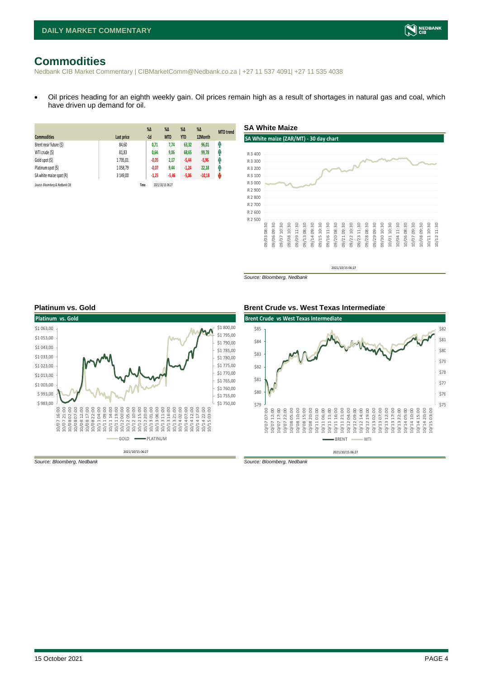## <span id="page-3-0"></span>**Commodities**

Nedbank CIB Market Commentary | CIBMarketComm@Nedbank.co.za | +27 11 537 4091| +27 11 535 4038

• Oil prices heading for an eighth weekly gain. Oil prices remain high as a result of shortages in natural gas and coal, which have driven up demand for oil.

**SA White Maize**

| <b>Commodities</b>              | Last price | $%$ $\Delta$<br>$-1d$ | $\%$ $\Delta$<br><b>MTD</b> | $%$ $\Delta$<br><b>YTD</b> | $\%$ $\Delta$<br>12Month | <b>MTD</b> trend |
|---------------------------------|------------|-----------------------|-----------------------------|----------------------------|--------------------------|------------------|
|                                 |            |                       |                             |                            |                          |                  |
| Brent near future (\$)          | 84,60      | 0,71                  | 7,74                        | 63,32                      | 96,01                    | Ŵ                |
| WTI crude (\$)                  | 81,83      | 0,64                  | 9,06                        | 68,65                      | 99,78                    | φ                |
| Gold spot (\$)                  | 1795,01    | $-0.05$               | 2,17                        | $-5,44$                    | $-5,96$                  | Ŵ                |
| Platinum spot (\$)              | 1058,79    | $-0.07$               | 9,44                        | $-1,24$                    | 22,18                    | φ                |
| SA white maize spot (R)         | 3 149.00   | $-1,25$               | $-5,46$                     | $-5,06$                    | $-10,18$                 | ŵ                |
| Source: Bloomberg & Nedbank CIB |            | Time                  | 2021/10/15 06:27            |                            |                          |                  |

#### **SA White maize (ZAR/MT) - 30 day chart** R 2 500 R 2 600 R 2 700 R 2 800 R 2 900 R 3 000 R 3 100 R 3 200 R 3 300 R 3 400 09/03 08:30 09/06 09:30 09/07 10:30 09/08 10:30 09/09 11:30 09/13 08:30 09/14 09:30 09/15 10:30 09/16 11:30 09/20 08:30 09/21 09:30 09/22 10:30 09/23 11:30 09/28 08:30 09/29 09:30 09/30 10:30 10/01 10:30 10/04 11:30 10/06 08:30 10/07 09:30 10/08 09:30 10/11 10:30 10/12 11:30

2021/10/15 06:27

*Source: Bloomberg, Nedbank*





*Source: Bloomberg, Nedbank Source: Bloomberg, Nedbank*

#### **Platinum vs. Gold Brent Crude vs. West Texas Intermediate**



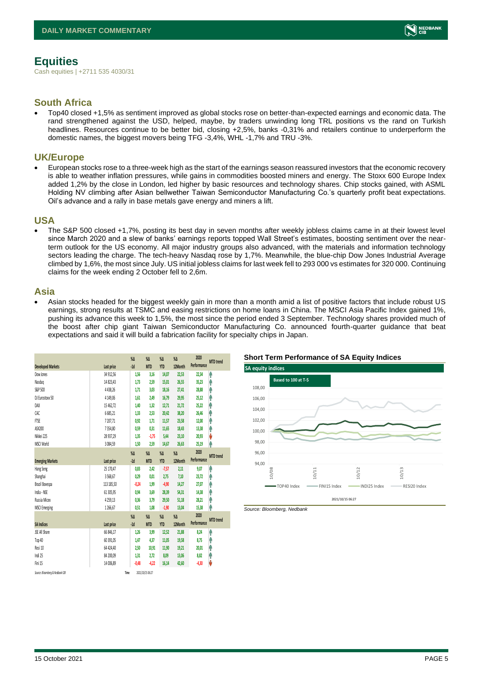### <span id="page-4-0"></span>**Equities**

Cash equities | +2711 535 4030/31

### **South Africa**

• Top40 closed +1,5% as sentiment improved as global stocks rose on better-than-expected earnings and economic data. The rand strengthened against the USD, helped, maybe, by traders unwinding long TRL positions vs the rand on Turkish headlines. Resources continue to be better bid, closing +2,5%, banks -0,31% and retailers continue to underperform the domestic names, the biggest movers being TFG -3,4%, WHL -1,7% and TRU -3%.

### **UK/Europe**

• European stocks rose to a three-week high as the start of the earnings season reassured investors that the economic recovery is able to weather inflation pressures, while gains in commodities boosted miners and energy. The Stoxx 600 Europe Index added 1,2% by the close in London, led higher by basic resources and technology shares. Chip stocks gained, with ASML Holding NV climbing after Asian bellwether Taiwan Semiconductor Manufacturing Co.'s quarterly profit beat expectations. Oil's advance and a rally in base metals gave energy and miners a lift.

#### **USA**

• The S&P 500 closed +1,7%, posting its best day in seven months after weekly jobless claims came in at their lowest level since March 2020 and a slew of banks' earnings reports topped Wall Street's estimates, boosting sentiment over the nearterm outlook for the US economy. All major industry groups also advanced, with the materials and information technology sectors leading the charge. The tech-heavy Nasdag rose by 1.7%. Meanwhile, the blue-chip Dow Jones Industrial Average climbed by 1,6%, the most since July. US initial jobless claims for last week fell to 293 000 vs estimates for 320 000. Continuing claims for the week ending 2 October fell to 2,6m.

#### **Asia**

• Asian stocks headed for the biggest weekly gain in more than a month amid a list of positive factors that include robust US earnings, strong results at TSMC and easing restrictions on home loans in China. The MSCI Asia Pacific Index gained 1%, pushing its advance this week to 1,5%, the most since the period ended 3 September. Technology shares provided much of the boost after chip giant Taiwan Semiconductor Manufacturing Co. announced fourth-quarter guidance that beat expectations and said it will build a fabrication facility for specialty chips in Japan.

|                                 |              | $\%$ $\Delta$ | $\%$ $\Delta$    | $\%$ $\Delta$ | $\%$ $\Delta$ | 2020        | <b>MTD</b> trend |
|---------------------------------|--------------|---------------|------------------|---------------|---------------|-------------|------------------|
| <b>Developed Markets</b>        | Last price   | $-1d$         | <b>MTD</b>       | <b>YTD</b>    | 12Month       | Performance |                  |
| Dow Jones                       | 34 912.56    | 1,56          | 3,16             | 14,07         | 22,53         | 22,34       | ٨                |
| Nasdao                          | 14 823,43    | 1,73          | 2,59             | 15,01         | 26,55         | 35,23       | ٨                |
| S&P 500                         | 4438.26      | 1.71          | 3.03             | 18,16         | 27,41         | 28,88       | Ĥ                |
| DJ Eurostoxx 50                 | 4 149,06     | 1,61          | 2,49             | 16,79         | 29,95         | 25,12       | Λ                |
| DAX                             | 15 462,72    | 1,40          | 1,32             | 12,71         | 21,72         | 25,22       | ۸                |
| CAC                             | 6685,21      | 1,33          | 2,53             | 20,42         | 38,20         | 26,46       | ۸                |
| FTSE                            | 7207,71      | 0.92          | 1.71             | 11,57         | 23,58         | 12,00       | Ą                |
| ASX200                          | 7354,80      | 0,59          | 0,31             | 11,65         | 18,43         | 13,38       | ٨                |
| Nikkei 225                      | 28 937,29    | 1,35          | $-1,75$          | 5.44          | 23,10         | 20,93       | V                |
| MSCI World                      | 3 0 8 4, 5 9 | 1,50          | 2,59             | 14,67         | 26.63         | 25,19       | ٨                |
|                                 |              | $\%$          | $\%$ $\Delta$    | $\%$ $\Delta$ | $\%$ $\Delta$ | 2020        |                  |
| <b>Emerging Markets</b>         | Last price   | $-1d$         | <b>MTD</b>       | <b>YTD</b>    | 12Month       | Performance | <b>MTD</b> trend |
| Hang Seng                       | 25 170,47    | 0,83          | 2,42             | $-7,57$       | 2,11          | 9,07        | ٨                |
| Shanghai                        | 3568,67      | 0,29          | 0,01             | 2,75          | 7,10          | 23,72       | ⋒                |
| Brazil Bovespa                  | 113 185,50   | $-0,24$       | 1,99             | $-4,90$       | 14,27         | 27,07       | ٨                |
| India - NSE                     | 61 305.95    | 0,94          | 3,69             | 28,39         | 54,31         | 14,38       | Λ                |
| Russia Micex                    | 4259,13      | 0,36          | 3,79             | 29,50         | 51,18         | 28,21       | ⋔                |
| <b>MSCI Emerging</b>            | 1266.67      | 0.51          | 1.08             | $-1,90$       | 13,04         | 15,38       | ٨                |
|                                 |              | $\%$          | $\%$ $\Delta$    | $\%$ $\Delta$ | $\%$          | 2020        |                  |
| <b>SA Indices</b>               | Last price   | $-1d$         | <b>MTD</b>       | <b>YTD</b>    | 12Month       | Performance | <b>MTD</b> trend |
| <b>JSE All Share</b>            | 66 846.17    | 1,26          | 3,99             | 12,52         | 21,88         | 8,24        | ٨                |
| Top 40                          | 60 391,05    | 1,47          | 4,37             | 11,05         | 19,58         | 8,75        | Ą                |
| Resi 10                         | 64 424,40    | 2,50          | 10,91            | 11,90         | 19,21         | 20,01       | ۸                |
| Indi 25                         | 84 200,09    | 1,31          | 2,72             | 8,09          | 13,06         | 8,82        | ۸                |
| Fini 15                         | 14 006,89    | $-0,48$       | $-4,22$          | 16,14         | 42,60         | $-4,30$     | V                |
| Source: Bloomberg & Nedbank CIB |              | Time          | 2021/10/15 06:27 |               |               |             |                  |







NEDBANK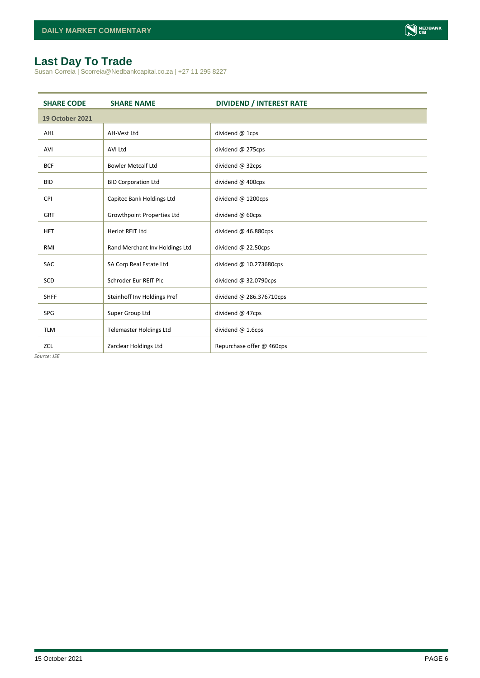

### <span id="page-5-0"></span>**Last Day To Trade**

Susan Correia | Scorreia@Nedbankcapital.co.za | +27 11 295 8227

| <b>SHARE CODE</b>      | <b>SHARE NAME</b>                 | <b>DIVIDEND / INTEREST RATE</b> |
|------------------------|-----------------------------------|---------------------------------|
| <b>19 October 2021</b> |                                   |                                 |
| <b>AHL</b>             | <b>AH-Vest Ltd</b>                | dividend @ 1cps                 |
| AVI                    | <b>AVI Ltd</b>                    | dividend @ 275cps               |
| <b>BCF</b>             | <b>Bowler Metcalf Ltd</b>         | dividend @ 32cps                |
| <b>BID</b>             | <b>BID Corporation Ltd</b>        | dividend @ 400cps               |
| <b>CPI</b>             | Capitec Bank Holdings Ltd         | dividend @ 1200cps              |
| <b>GRT</b>             | <b>Growthpoint Properties Ltd</b> | dividend @ 60cps                |
| <b>HET</b>             | <b>Heriot REIT Ltd</b>            | dividend @ 46.880cps            |
| RMI                    | Rand Merchant Inv Holdings Ltd    | dividend @ 22.50cps             |
| <b>SAC</b>             | SA Corp Real Estate Ltd           | dividend @ 10.273680cps         |
| SCD                    | Schroder Eur REIT Plc             | dividend @ 32.0790cps           |
| <b>SHFF</b>            | Steinhoff Inv Holdings Pref       | dividend @ 286.376710cps        |
| SPG                    | Super Group Ltd                   | dividend @ 47cps                |
| <b>TLM</b>             | <b>Telemaster Holdings Ltd</b>    | dividend @ 1.6cps               |
| ZCL                    | Zarclear Holdings Ltd             | Repurchase offer @ 460cps       |

*Source: JSE*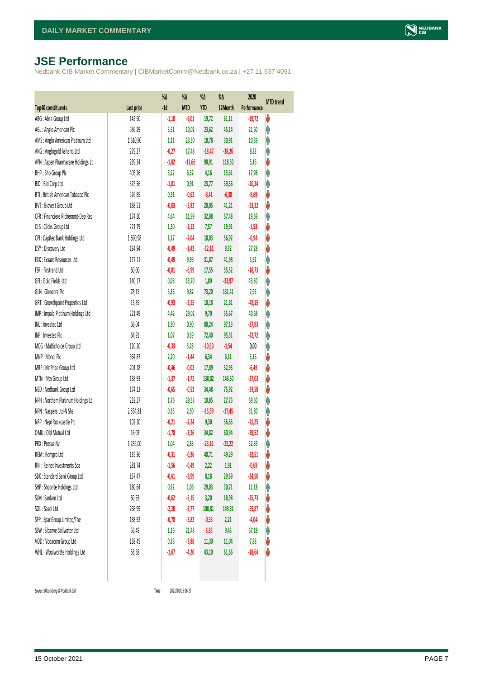### <span id="page-6-0"></span>**JSE Performance**

Nedbank CIB Market Commentary | CIBMarketComm@Nedbank.co.za | +27 11 537 4091

|                                    |            | $\%$ $\Delta$ | %Δ         | %Δ       | %Δ       | 2020        | <b>MTD</b> trend |
|------------------------------------|------------|---------------|------------|----------|----------|-------------|------------------|
| Top40 constituents                 | Last price | $-1d$         | <b>MTD</b> | YTD      | 12Month  | Performance |                  |
| ABG: Absa Group Ltd                | 143,50     | $-1,10$       | $-6,01$    | 19,72    | 61,11    | $-19,72$    | ψ                |
| AGL: Anglo American Plc            | 586,29     | 3,51          | 10,02      | 23,62    | 45,14    | 21,60       | φ                |
| AMS: Anglo American Platinum Ltd   | 1610,90    | 1,11          | 23,50      | 18,78    | 30,91    | 10,39       | φ                |
| ANG: Anglogold Ashanti Ltd         | 279,27     | $-0,27$       | 17,48      | $-18,47$ | $-38,26$ | 8,22        | φ                |
| APN : Aspen Pharmacare Holdings Lt | 239,34     | $-1,82$       | $-11,66$   | 90,91    | 118,50   | 5,16        | V                |
| BHP: Bhp Group Plc                 | 405,26     | 3,22          | 6,32       | 4,16     | 15,61    | 17,98       | Ą                |
| BID: Bid Corp Ltd                  | 325,56     | $-1,01$       | 0,91       | 23,77    | 39,56    | $-20,34$    | φ                |
| BTI: British American Tobacco Plc  | 526,85     | 0,91          | $-0,63$    | $-3,41$  | $-6,38$  | $-8,69$     | ψ                |
| BVT: Bidvest Group Ltd             | 188,51     | $-0,03$       | $-3,82$    | 20,05    | 41,21    | $-23,32$    | V                |
| CFR : Financiere Richemont-Dep Rec | 174,20     | 4,64          | 11,99      | 32,88    | 57,48    | 19,69       | φ                |
| CLS : Clicks Group Ltd             | 271,79     | 1,30          | $-2,13$    | 7,57     | 19,91    | $-1,53$     | ψ                |
| CPI : Capitec Bank Holdings Ltd    | 1690,98    | 1,17          | $-7,04$    | 18,03    | 56,92    | $-0,94$     | ψ                |
| DSY: Discovery Ltd                 | 134,94     | $-0,49$       | $-1,42$    | $-12,11$ | 8,32     | 27,28       | ψ                |
| EXX : Exxaro Resources Ltd         | 177,11     | $-0,49$       | 9,99       | 31,87    | 41,98    | 5,92        | Ą                |
| FSR: Firstrand Ltd                 | 60,00      | $-0,81$       | $-6,99$    | 17,55    | 55,52    | $-18,73$    | ψ                |
| GFI: Gold Fields Ltd               | 140,17     | 0,03          | 13,70      | 1,89     | $-33,97$ | 43,50       | φ                |
| GLN : Glencore Plc                 | 78,15      | 3,85          | 9,82       | 73,20    | 131,41   | 7,95        | φ                |
| GRT : Growthpoint Properties Ltd   | 13,85      | $-0,93$       | $-3,15$    | 10,18    | 21,81    | $-43,15$    | ψ                |
| IMP : Impala Platinum Holdings Ltd | 221,49     | 4,42          | 29,02      | 9,70     | 35,67    | 40,68       | φ                |
| INL: Investec Ltd                  | 66,04      | 1,90          | 0,90       | 80,24    | 97,13    | $-37,83$    | Λ                |
| INP: Invested Plc                  | 64,91      | 1,07          | 0,39       | 72,40    | 95,51    | $-42,72$    | Λ                |
| MCG: Multichoice Group Ltd         | 120,20     | $-0,33$       | 5,28       | $-10,30$ | $-1,54$  | 0,00        | φ                |
| MNP: Mondi Plc                     | 364,87     | 2,20          | $-1,44$    | 6,34     | 6,11     | 5,16        | ψ                |
| MRP : Mr Price Group Ltd           | 201,18     | $-0,46$       | $-0,02$    | 17,89    | 52,95    | $-6,49$     | ψ                |
| MTN: Mtn Group Ltd                 | 138,93     | $-1,37$       | $-1, 72$   | 130,82   | 146,50   | $-27,03$    | ψ                |
| NED : Nedbank Group Ltd            | 174,13     | $-0,65$       | $-0,53$    | 34,48    | 75,92    | $-39,58$    | ψ                |
| NPH: Northam Platinum Holdings Lt  | 232,27     | 1,76          | 29,53      | 10,85    | 27,73    | 69,50       | φ                |
| NPN : Naspers Ltd-N Shs            | 2554,81    | 0,35          | 2,50       | $-15,39$ | $-17,45$ | 31,80       | φ                |
| NRP : Nepi Rockcastle Plc          | 102,20     | $-0,21$       | $-2,24$    | 9,30     | 56,65    | $-21,25$    | V                |
| OMU: Old Mutual Ltd                | 16,03      | $-1,78$       | $-3,26$    | 34,82    | 60,94    | $-39,52$    | ψ                |
| PRX: Prosus Nv                     | 1235,00    | 1,04          | 2,83       | $-23,11$ | $-22,22$ | 52,39       | φ                |
| REM : Remgro Ltd                   | 135,36     | $-0,31$       | $-0,36$    | 40,71    | 49,29    | $-32,51$    | V                |
| RNI : Reinet Investments Sca       | 281,74     | $-1,56$       | $-0,49$    | 2,22     | 1,91     | $-0,68$     | ♦                |
| SBK: Standard Bank Group Ltd       | 137,47     | $-0,61$       | $-3,99$    | 8,18     | 29,69    | $-24,50$    | ψ                |
| SHP: Shoprite Holdings Ltd         | 180,64     | 0,92          | 1,06       | 29,03    | 30,71    | 11,18       | φ                |
| SLM : Sanlam Ltd                   | 60,63      | $-0,62$       | $-5,15$    | 3,20     | 18,98    | $-25,73$    | ψ                |
| SOL: Sasol Ltd                     | 268,95     | $-2,20$       | $-5,77$    | 100,81   | 149,81   | $-55,87$    | ψ                |
| SPP: Spar Group Limited/The        | 188,92     | $-0,78$       | $-3,82$    | $-0,33$  | 2,21     | $-4,04$     | ψ                |
| SSW : Sibanye Stillwater Ltd       | 56,49      | 1,16          | 21,43      | $-5,85$  | 9,43     | 67,18       | φ                |
| VOD: Vodacom Group Ltd             | 138,45     | 0,33          | $-3,88$    | 11,30    | 11,04    | 7,88        | V                |
| WHL: Woolworths Holdings Ltd       | 56,58      | $-1,67$       | $-4,20$    | 43,10    | 61,66    | $-18,64$    | U                |
|                                    |            |               |            |          |          |             |                  |

 $Source: Bloomberg & Nedbank *CB*$ 

Time 2021/10/15 06:27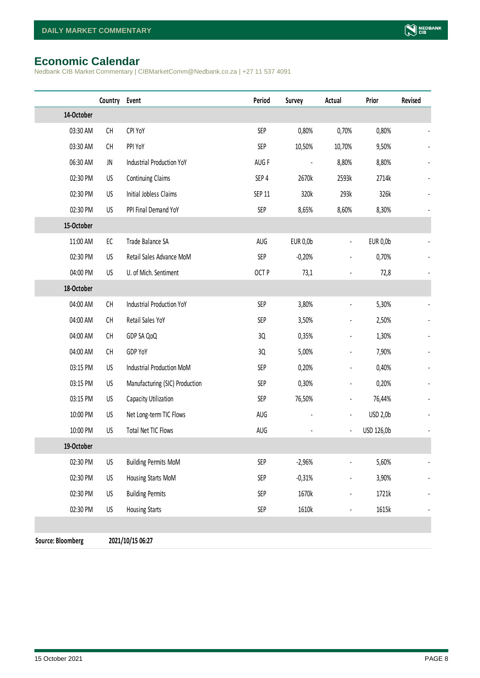### <span id="page-7-0"></span>**Economic Calendar**

Nedbank CIB Market Commentary | CIBMarketComm@Nedbank.co.za | +27 11 537 4091

|                          | Country                                                                                                 | Event                            | Period        | Survey          | Actual                       | Prior           | Revised |
|--------------------------|---------------------------------------------------------------------------------------------------------|----------------------------------|---------------|-----------------|------------------------------|-----------------|---------|
| 14-October               |                                                                                                         |                                  |               |                 |                              |                 |         |
| 03:30 AM                 | CH                                                                                                      | CPI YoY                          | <b>SEP</b>    | 0,80%           | 0,70%                        | 0,80%           |         |
| 03:30 AM                 | CH                                                                                                      | PPI YoY                          | <b>SEP</b>    | 10,50%          | 10,70%                       | 9,50%           |         |
| 06:30 AM                 | JN                                                                                                      | Industrial Production YoY        | AUG F         |                 | 8,80%                        | 8,80%           |         |
| 02:30 PM                 | US                                                                                                      | Continuing Claims                | SEP 4         | 2670k           | 2593k                        | 2714k           |         |
| 02:30 PM                 | US                                                                                                      | Initial Jobless Claims           | <b>SEP 11</b> | 320k            | 293k                         | 326k            |         |
| 02:30 PM                 | US                                                                                                      | PPI Final Demand YoY             | <b>SEP</b>    | 8,65%           | 8,60%                        | 8,30%           |         |
| 15-October               |                                                                                                         |                                  |               |                 |                              |                 |         |
| 11:00 AM                 | EC                                                                                                      | Trade Balance SA                 | AUG           | <b>EUR 0,0b</b> | $\frac{1}{2}$                | <b>EUR 0,0b</b> |         |
| 02:30 PM                 | US                                                                                                      | Retail Sales Advance MoM         | <b>SEP</b>    | $-0,20%$        |                              | 0,70%           |         |
| 04:00 PM                 | US                                                                                                      | U. of Mich. Sentiment            | OCT P         | 73,1            |                              | 72,8            |         |
| 18-October               |                                                                                                         |                                  |               |                 |                              |                 |         |
| 04:00 AM                 | $\mathsf{CH}% _{\mathsf{C}}^{\mathsf{C}}(\mathsf{C})=\mathsf{CH}_{\mathsf{C}}^{\mathsf{C}}(\mathsf{C})$ | <b>Industrial Production YoY</b> | <b>SEP</b>    | 3,80%           | $\overline{a}$               | 5,30%           |         |
| 04:00 AM                 | CH                                                                                                      | Retail Sales YoY                 | <b>SEP</b>    | 3,50%           |                              | 2,50%           |         |
| 04:00 AM                 | CH                                                                                                      | GDP SA QoQ                       | 3Q            | 0,35%           | $\qquad \qquad \blacksquare$ | 1,30%           |         |
| 04:00 AM                 | CH                                                                                                      | GDP YoY                          | 3Q            | 5,00%           | $\qquad \qquad \blacksquare$ | 7,90%           |         |
| 03:15 PM                 | US                                                                                                      | Industrial Production MoM        | SEP           | 0,20%           |                              | 0,40%           |         |
| 03:15 PM                 | US                                                                                                      | Manufacturing (SIC) Production   | <b>SEP</b>    | 0,30%           |                              | 0,20%           |         |
| 03:15 PM                 | US                                                                                                      | Capacity Utilization             | <b>SEP</b>    | 76,50%          | $\overline{\phantom{a}}$     | 76,44%          |         |
| 10:00 PM                 | US                                                                                                      | Net Long-term TIC Flows          | AUG           |                 | $\frac{1}{2}$                | USD 2,0b        |         |
| 10:00 PM                 | US                                                                                                      | <b>Total Net TIC Flows</b>       | AUG           |                 | $\qquad \qquad \blacksquare$ | USD 126,0b      |         |
| 19-October               |                                                                                                         |                                  |               |                 |                              |                 |         |
| 02:30 PM                 | US                                                                                                      | <b>Building Permits MoM</b>      | SEP           | $-2,96%$        |                              | 5,60%           |         |
| 02:30 PM                 | US                                                                                                      | Housing Starts MoM               | SEP           | $-0,31%$        |                              | 3,90%           |         |
| 02:30 PM                 | US                                                                                                      | <b>Building Permits</b>          | <b>SEP</b>    | 1670k           |                              | 1721k           |         |
| 02:30 PM                 | US                                                                                                      | <b>Housing Starts</b>            | SEP           | 1610k           |                              | 1615k           |         |
|                          |                                                                                                         |                                  |               |                 |                              |                 |         |
| <b>Source: Bloomberg</b> |                                                                                                         | 2021/10/15 06:27                 |               |                 |                              |                 |         |